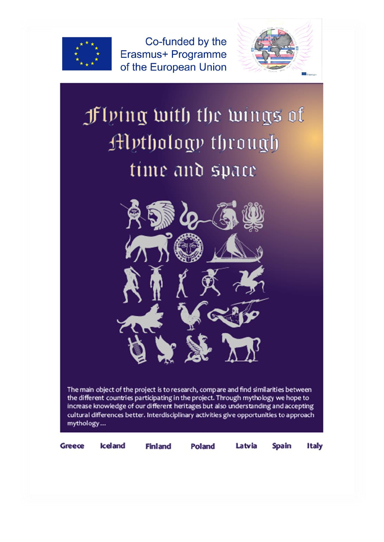

Co-funded by the Erasmus+ Programme of the European Union



# **f** (bing with the wings of **Hythology** through time and space



The main object of the project is to research, compare and find similarities between the different countries participating in the project. Through mythology we hope to increase knowledge of our different heritages but also understanding and accepting cultural differences better. Interdisciplinary activities give opportunities to approach mythology...

**Greece** 

**Iceland** 

**Finland** 

Poland

Latvia **Spain** 

**Italy**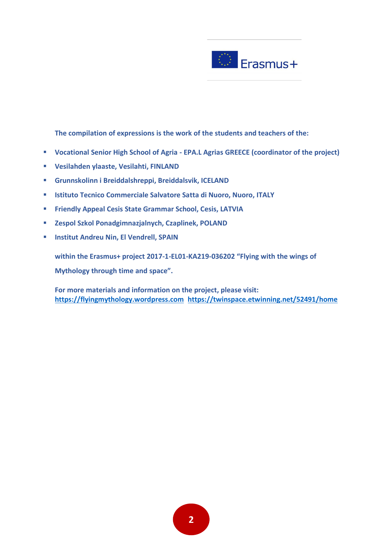

**The compilation of expressions is the work of the students and teachers of the:**

- **Vocational Senior High School of Agria - EPA.L Agrias GREECE (coordinator of the project)**
- **Vesilahden ylaaste, Vesilahti, FINLAND**
- **Grunnskolinn i Breiddalshreppi, Breiddalsvik, ICELAND**
- **Istituto Tecnico Commerciale Salvatore Satta di Nuoro, Nuoro, ITALY**
- **Friendly Appeal Cesis State Grammar School, Cesis, LATVIA**
- **Zespol Szkol Ponadgimnazjalnych, Czaplinek, POLAND**
- **Institut Andreu Nin, El Vendrell, SPAIN**

**within the Erasmus+ project 2017-1-EL01-KA219-036202 "Flying with the wings of Mythology through time and space".**

**For more materials and information on the project, please visit: [https://flyingmythology.wordpress.com](https://flyingmythology.wordpress.com/) <https://twinspace.etwinning.net/52491/home>**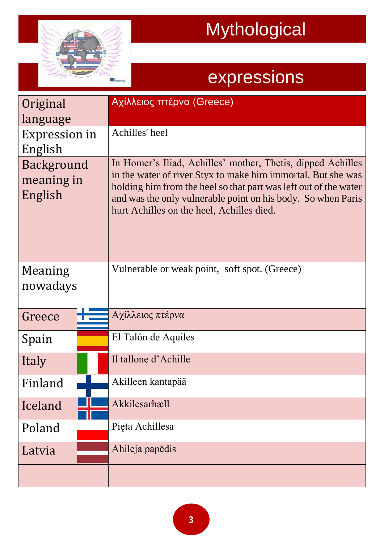

| Original<br>language                | Αχίλλειος πτέρνα (Greece)                                                                                                                                                                                                                                                                                    |
|-------------------------------------|--------------------------------------------------------------------------------------------------------------------------------------------------------------------------------------------------------------------------------------------------------------------------------------------------------------|
| <b>Expression in</b><br>English     | Achilles' heel                                                                                                                                                                                                                                                                                               |
| Background<br>meaning in<br>English | In Homer's Iliad, Achilles' mother, Thetis, dipped Achilles<br>in the water of river Styx to make him immortal. But she was<br>holding him from the heel so that part was left out of the water<br>and was the only vulnerable point on his body. So when Paris<br>hurt Achilles on the heel, Achilles died. |
| Meaning<br>nowadays                 | Vulnerable or weak point, soft spot. (Greece)                                                                                                                                                                                                                                                                |
| Greece                              | Αχίλλειος πτέρνα                                                                                                                                                                                                                                                                                             |
| Spain                               | El Talón de Aquiles                                                                                                                                                                                                                                                                                          |
| Italy                               | Il tallone d'Achille                                                                                                                                                                                                                                                                                         |
| Finland                             | Akilleen kantapää                                                                                                                                                                                                                                                                                            |
| Iceland                             | Akkilesarhæll                                                                                                                                                                                                                                                                                                |
| Poland                              | Pięta Achillesa                                                                                                                                                                                                                                                                                              |
| Latvia                              | Ahileja papēdis                                                                                                                                                                                                                                                                                              |
|                                     |                                                                                                                                                                                                                                                                                                              |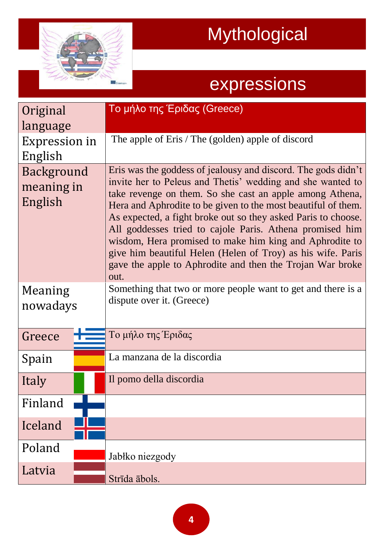

| Original<br>language                | Το μήλο της Έριδας (Greece)                                                                                                                                                                                                                                                                                                                                                                                                                                                                                                                                                          |
|-------------------------------------|--------------------------------------------------------------------------------------------------------------------------------------------------------------------------------------------------------------------------------------------------------------------------------------------------------------------------------------------------------------------------------------------------------------------------------------------------------------------------------------------------------------------------------------------------------------------------------------|
| Expression in<br>English            | The apple of Eris / The (golden) apple of discord                                                                                                                                                                                                                                                                                                                                                                                                                                                                                                                                    |
| Background<br>meaning in<br>English | Eris was the goddess of jealousy and discord. The gods didn't<br>invite her to Peleus and Thetis' wedding and she wanted to<br>take revenge on them. So she cast an apple among Athena,<br>Hera and Aphrodite to be given to the most beautiful of them.<br>As expected, a fight broke out so they asked Paris to choose.<br>All goddesses tried to cajole Paris. Athena promised him<br>wisdom, Hera promised to make him king and Aphrodite to<br>give him beautiful Helen (Helen of Troy) as his wife. Paris<br>gave the apple to Aphrodite and then the Trojan War broke<br>out. |
| Meaning<br>nowadays                 | Something that two or more people want to get and there is a<br>dispute over it. (Greece)                                                                                                                                                                                                                                                                                                                                                                                                                                                                                            |
| Greece                              | Το μήλο της Έριδας                                                                                                                                                                                                                                                                                                                                                                                                                                                                                                                                                                   |
| Spain                               | La manzana de la discordia                                                                                                                                                                                                                                                                                                                                                                                                                                                                                                                                                           |
| Italy                               | Il pomo della discordia                                                                                                                                                                                                                                                                                                                                                                                                                                                                                                                                                              |
| Finland                             |                                                                                                                                                                                                                                                                                                                                                                                                                                                                                                                                                                                      |
| Iceland                             |                                                                                                                                                                                                                                                                                                                                                                                                                                                                                                                                                                                      |
| Poland                              | Jabłko niezgody                                                                                                                                                                                                                                                                                                                                                                                                                                                                                                                                                                      |
| Latvia                              | Strīda ābols.                                                                                                                                                                                                                                                                                                                                                                                                                                                                                                                                                                        |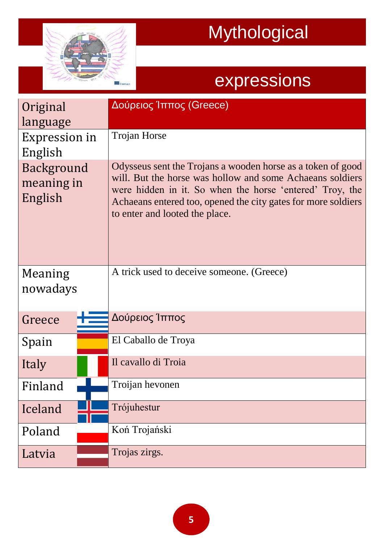

| Original<br>language                | Δούρειος Ίππος (Greece)                                                                                                                                                                                                                                                                 |
|-------------------------------------|-----------------------------------------------------------------------------------------------------------------------------------------------------------------------------------------------------------------------------------------------------------------------------------------|
| Expression in<br>English            | <b>Trojan Horse</b>                                                                                                                                                                                                                                                                     |
| Background<br>meaning in<br>English | Odysseus sent the Trojans a wooden horse as a token of good<br>will. But the horse was hollow and some Achaeans soldiers<br>were hidden in it. So when the horse 'entered' Troy, the<br>Achaeans entered too, opened the city gates for more soldiers<br>to enter and looted the place. |
| Meaning<br>nowadays                 | A trick used to deceive someone. (Greece)                                                                                                                                                                                                                                               |
| Greece                              | Δούρειος Ίππος                                                                                                                                                                                                                                                                          |
| Spain                               | El Caballo de Troya                                                                                                                                                                                                                                                                     |
| Italy                               | Il cavallo di Troia                                                                                                                                                                                                                                                                     |
| Finland                             | Troijan hevonen                                                                                                                                                                                                                                                                         |
| Iceland                             | Trójuhestur                                                                                                                                                                                                                                                                             |
| Poland                              | Koń Trojański                                                                                                                                                                                                                                                                           |
| Latvia                              | Trojas zirgs.                                                                                                                                                                                                                                                                           |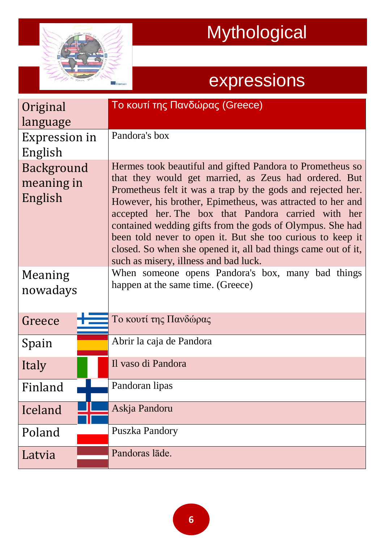

| Original                            | Το κουτί της Πανδώρας (Greece)                                                                                                                                                                                                                                                                                                                                                                                                                                                                                                              |
|-------------------------------------|---------------------------------------------------------------------------------------------------------------------------------------------------------------------------------------------------------------------------------------------------------------------------------------------------------------------------------------------------------------------------------------------------------------------------------------------------------------------------------------------------------------------------------------------|
| language                            |                                                                                                                                                                                                                                                                                                                                                                                                                                                                                                                                             |
| Expression in                       | Pandora's box                                                                                                                                                                                                                                                                                                                                                                                                                                                                                                                               |
| English                             |                                                                                                                                                                                                                                                                                                                                                                                                                                                                                                                                             |
| Background<br>meaning in<br>English | Hermes took beautiful and gifted Pandora to Prometheus so<br>that they would get married, as Zeus had ordered. But<br>Prometheus felt it was a trap by the gods and rejected her.<br>However, his brother, Epimetheus, was attracted to her and<br>accepted her. The box that Pandora carried with her<br>contained wedding gifts from the gods of Olympus. She had<br>been told never to open it. But she too curious to keep it<br>closed. So when she opened it, all bad things came out of it,<br>such as misery, illness and bad luck. |
| Meaning<br>nowadays                 | When someone opens Pandora's box, many bad things<br>happen at the same time. (Greece)                                                                                                                                                                                                                                                                                                                                                                                                                                                      |
| Greece                              | Το κουτί της Πανδώρας                                                                                                                                                                                                                                                                                                                                                                                                                                                                                                                       |
| Spain                               | Abrir la caja de Pandora                                                                                                                                                                                                                                                                                                                                                                                                                                                                                                                    |
| Italy                               | Il vaso di Pandora                                                                                                                                                                                                                                                                                                                                                                                                                                                                                                                          |
| Finland                             | Pandoran lipas                                                                                                                                                                                                                                                                                                                                                                                                                                                                                                                              |
| Iceland                             | Askja Pandoru                                                                                                                                                                                                                                                                                                                                                                                                                                                                                                                               |
| Poland                              | Puszka Pandory                                                                                                                                                                                                                                                                                                                                                                                                                                                                                                                              |
| Latvia                              | Pandoras lāde.                                                                                                                                                                                                                                                                                                                                                                                                                                                                                                                              |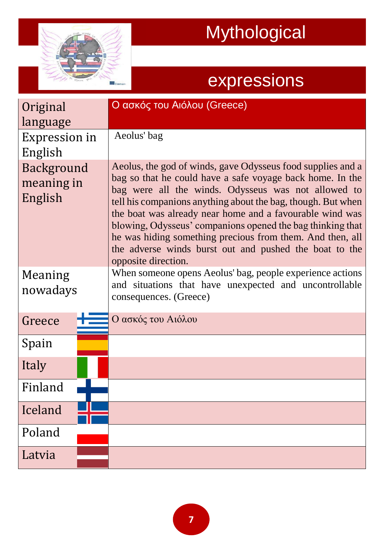

| Original                            | Ο ασκός του Αιόλου (Greece)                                                                                                                                                                                                                                                                                                                                                                                                                                                                                             |
|-------------------------------------|-------------------------------------------------------------------------------------------------------------------------------------------------------------------------------------------------------------------------------------------------------------------------------------------------------------------------------------------------------------------------------------------------------------------------------------------------------------------------------------------------------------------------|
| language                            |                                                                                                                                                                                                                                                                                                                                                                                                                                                                                                                         |
| Expression in<br>English            | Aeolus' bag                                                                                                                                                                                                                                                                                                                                                                                                                                                                                                             |
| Background<br>meaning in<br>English | Aeolus, the god of winds, gave Odysseus food supplies and a<br>bag so that he could have a safe voyage back home. In the<br>bag were all the winds. Odysseus was not allowed to<br>tell his companions anything about the bag, though. But when<br>the boat was already near home and a favourable wind was<br>blowing, Odysseus' companions opened the bag thinking that<br>he was hiding something precious from them. And then, all<br>the adverse winds burst out and pushed the boat to the<br>opposite direction. |
| Meaning<br>nowadays                 | When someone opens Aeolus' bag, people experience actions<br>and situations that have unexpected and uncontrollable<br>consequences. (Greece)                                                                                                                                                                                                                                                                                                                                                                           |
| Greece                              | Ο ασκός του Αιόλου                                                                                                                                                                                                                                                                                                                                                                                                                                                                                                      |
| Spain                               |                                                                                                                                                                                                                                                                                                                                                                                                                                                                                                                         |
| Italy                               |                                                                                                                                                                                                                                                                                                                                                                                                                                                                                                                         |
| Finland                             |                                                                                                                                                                                                                                                                                                                                                                                                                                                                                                                         |
| Iceland                             |                                                                                                                                                                                                                                                                                                                                                                                                                                                                                                                         |
| Poland                              |                                                                                                                                                                                                                                                                                                                                                                                                                                                                                                                         |
| Latvia                              |                                                                                                                                                                                                                                                                                                                                                                                                                                                                                                                         |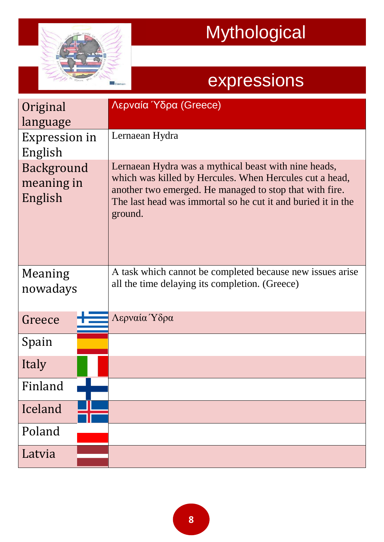

| Original<br>language                | Λερναία Ύδρα (Greece)                                                                                                                                                                                                                                 |
|-------------------------------------|-------------------------------------------------------------------------------------------------------------------------------------------------------------------------------------------------------------------------------------------------------|
| Expression in<br>English            | Lernaean Hydra                                                                                                                                                                                                                                        |
| Background<br>meaning in<br>English | Lernaean Hydra was a mythical beast with nine heads,<br>which was killed by Hercules. When Hercules cut a head,<br>another two emerged. He managed to stop that with fire.<br>The last head was immortal so he cut it and buried it in the<br>ground. |
| Meaning<br>nowadays                 | A task which cannot be completed because new issues arise<br>all the time delaying its completion. (Greece)                                                                                                                                           |
| Greece                              | Λερναία Ύδρα                                                                                                                                                                                                                                          |
| Spain                               |                                                                                                                                                                                                                                                       |
| Italy                               |                                                                                                                                                                                                                                                       |
| Finland                             |                                                                                                                                                                                                                                                       |
| Iceland                             |                                                                                                                                                                                                                                                       |
| Poland                              |                                                                                                                                                                                                                                                       |
| Latvia                              |                                                                                                                                                                                                                                                       |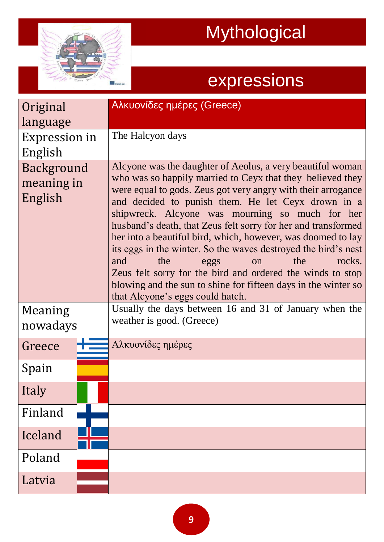

| Original<br>language                | Αλκυονίδες ημέρες (Greece)                                                                                                                                                                                                                                                                                                                                                                                                                                                                                                                                                                                                                                                                                            |
|-------------------------------------|-----------------------------------------------------------------------------------------------------------------------------------------------------------------------------------------------------------------------------------------------------------------------------------------------------------------------------------------------------------------------------------------------------------------------------------------------------------------------------------------------------------------------------------------------------------------------------------------------------------------------------------------------------------------------------------------------------------------------|
| Expression in<br>English            | The Halcyon days                                                                                                                                                                                                                                                                                                                                                                                                                                                                                                                                                                                                                                                                                                      |
| Background<br>meaning in<br>English | Alcyone was the daughter of Aeolus, a very beautiful woman<br>who was so happily married to Ceyx that they believed they<br>were equal to gods. Zeus got very angry with their arrogance<br>and decided to punish them. He let Ceyx drown in a<br>shipwreck. Alcyone was mourning so much for her<br>husband's death, that Zeus felt sorry for her and transformed<br>her into a beautiful bird, which, however, was doomed to lay<br>its eggs in the winter. So the waves destroyed the bird's nest<br>the<br>the<br>rocks.<br>and<br>eggs<br>on<br>Zeus felt sorry for the bird and ordered the winds to stop<br>blowing and the sun to shine for fifteen days in the winter so<br>that Alcyone's eggs could hatch. |
| Meaning<br>nowadays                 | Usually the days between 16 and 31 of January when the<br>weather is good. (Greece)                                                                                                                                                                                                                                                                                                                                                                                                                                                                                                                                                                                                                                   |
| Greece                              | Αλκυονίδες ημέρες                                                                                                                                                                                                                                                                                                                                                                                                                                                                                                                                                                                                                                                                                                     |
| Spain                               |                                                                                                                                                                                                                                                                                                                                                                                                                                                                                                                                                                                                                                                                                                                       |
| Italy                               |                                                                                                                                                                                                                                                                                                                                                                                                                                                                                                                                                                                                                                                                                                                       |
| Finland                             |                                                                                                                                                                                                                                                                                                                                                                                                                                                                                                                                                                                                                                                                                                                       |
| Iceland                             |                                                                                                                                                                                                                                                                                                                                                                                                                                                                                                                                                                                                                                                                                                                       |
| Poland                              |                                                                                                                                                                                                                                                                                                                                                                                                                                                                                                                                                                                                                                                                                                                       |
| Latvia                              |                                                                                                                                                                                                                                                                                                                                                                                                                                                                                                                                                                                                                                                                                                                       |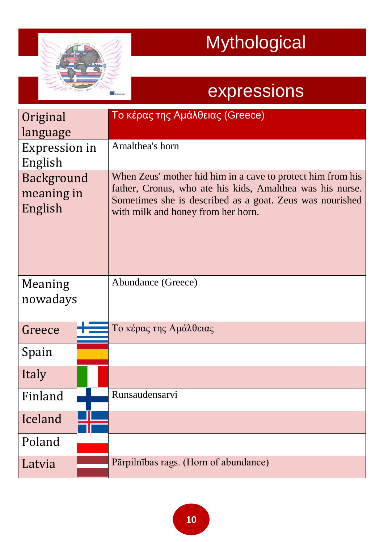

| Original<br>language<br>Expression in<br>English<br>Background<br>meaning in<br>English | Το κέρας της Αμάλθειας (Greece)<br>Amalthea's horn<br>When Zeus' mother hid him in a cave to protect him from his<br>father, Cronus, who ate his kids, Amalthea was his nurse.<br>Sometimes she is described as a goat. Zeus was nourished<br>with milk and honey from her horn. |
|-----------------------------------------------------------------------------------------|----------------------------------------------------------------------------------------------------------------------------------------------------------------------------------------------------------------------------------------------------------------------------------|
| Meaning<br>nowadays                                                                     | Abundance (Greece)                                                                                                                                                                                                                                                               |
| Greece                                                                                  | Το κέρας της Αμάλθειας                                                                                                                                                                                                                                                           |
| Spain                                                                                   |                                                                                                                                                                                                                                                                                  |
| Italy                                                                                   |                                                                                                                                                                                                                                                                                  |
| Finland                                                                                 | Runsaudensarvi                                                                                                                                                                                                                                                                   |
| Iceland                                                                                 |                                                                                                                                                                                                                                                                                  |
| Poland                                                                                  |                                                                                                                                                                                                                                                                                  |
| Latvia                                                                                  | Pārpilnības rags. (Horn of abundance)                                                                                                                                                                                                                                            |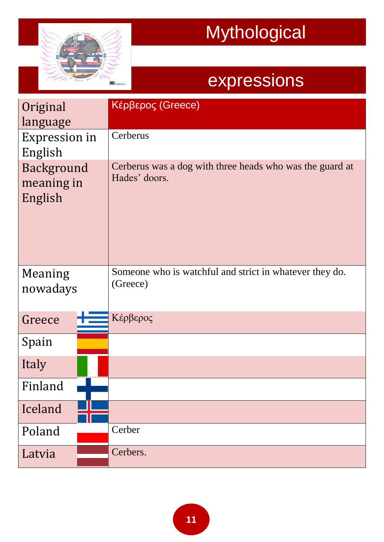

| Original<br>language                | Κέρβερος (Greece)                                                         |
|-------------------------------------|---------------------------------------------------------------------------|
| <b>Expression in</b><br>English     | Cerberus                                                                  |
| Background<br>meaning in<br>English | Cerberus was a dog with three heads who was the guard at<br>Hades' doors. |
| Meaning<br>nowadays                 | Someone who is watchful and strict in whatever they do.<br>(Greece)       |
| Greece                              | Κέρβερος                                                                  |
| Spain                               |                                                                           |
| Italy                               |                                                                           |
| Finland                             |                                                                           |
| Iceland                             |                                                                           |
| Poland                              | Cerber                                                                    |
| Latvia                              | Cerbers.                                                                  |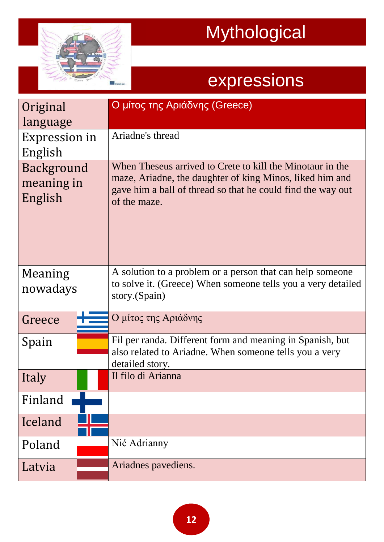

| Original<br>language                | Ο μίτος της Αριάδνης (Greece)                                                                                                                                                                        |
|-------------------------------------|------------------------------------------------------------------------------------------------------------------------------------------------------------------------------------------------------|
| <b>Expression in</b><br>English     | Ariadne's thread                                                                                                                                                                                     |
| Background<br>meaning in<br>English | When Theseus arrived to Crete to kill the Minotaur in the<br>maze, Ariadne, the daughter of king Minos, liked him and<br>gave him a ball of thread so that he could find the way out<br>of the maze. |
| Meaning<br>nowadays                 | A solution to a problem or a person that can help someone<br>to solve it. (Greece) When someone tells you a very detailed<br>story.(Spain)                                                           |
| Greece                              | Ο μίτος της Αριάδνης                                                                                                                                                                                 |
| Spain                               | Fil per randa. Different form and meaning in Spanish, but<br>also related to Ariadne. When someone tells you a very<br>detailed story.                                                               |
| Italy                               | Il filo di Arianna                                                                                                                                                                                   |
| Finland                             |                                                                                                                                                                                                      |
| Iceland                             |                                                                                                                                                                                                      |
| Poland                              | Nić Adrianny                                                                                                                                                                                         |
| Latvia                              | Ariadnes pavediens.                                                                                                                                                                                  |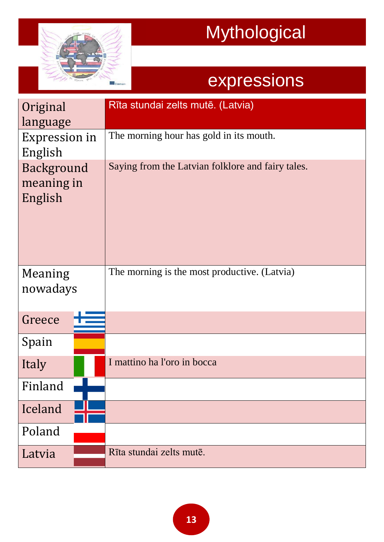

| Original<br>language                | Rīta stundai zelts mutē. (Latvia)                 |
|-------------------------------------|---------------------------------------------------|
| Expression in<br>English            | The morning hour has gold in its mouth.           |
| Background<br>meaning in<br>English | Saying from the Latvian folklore and fairy tales. |
| Meaning<br>nowadays                 | The morning is the most productive. (Latvia)      |
| Greece                              |                                                   |
| Spain                               |                                                   |
| Italy                               | I mattino ha l'oro in bocca                       |
| Finland                             |                                                   |
| Iceland                             |                                                   |
| Poland                              |                                                   |
| Latvia                              | Rīta stundai zelts mutē.                          |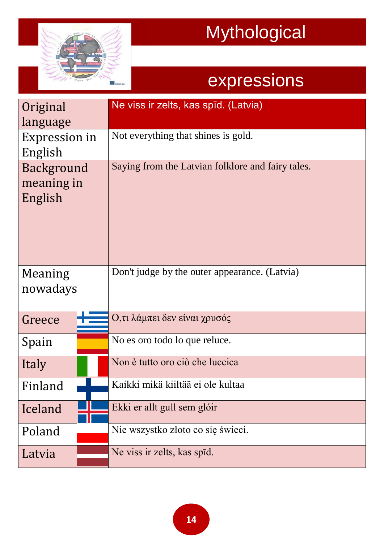

| Original<br>language                | Ne viss ir zelts, kas spīd. (Latvia)              |
|-------------------------------------|---------------------------------------------------|
| Expression in<br>English            | Not everything that shines is gold.               |
| Background<br>meaning in<br>English | Saying from the Latvian folklore and fairy tales. |
| Meaning<br>nowadays                 | Don't judge by the outer appearance. (Latvia)     |
| Greece                              | Ο,τι λάμπει δεν είναι χρυσός                      |
| Spain                               | No es oro todo lo que reluce.                     |
| Italy                               | Non è tutto oro ciò che luccica                   |
| Finland                             | Kaikki mikä kiiltää ei ole kultaa                 |
| Iceland                             | Ekki er allt gull sem glóir                       |
| Poland                              | Nie wszystko złoto co się świeci.                 |
| Latvia                              | Ne viss ir zelts, kas spīd.                       |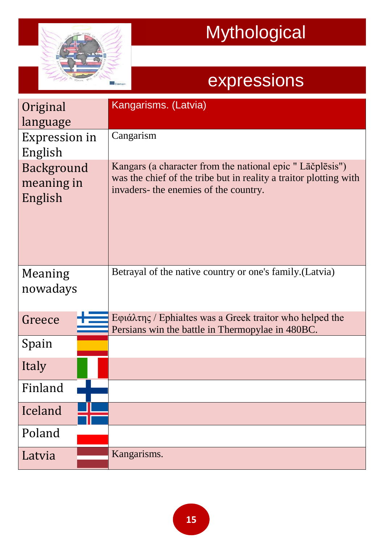

| Original<br>language<br>Expression in<br>English<br>Background<br>meaning in<br>English | Kangarisms. (Latvia)<br>Cangarism<br>Kangars (a character from the national epic "Laesplesis")<br>was the chief of the tribe but in reality a traitor plotting with<br>invaders- the enemies of the country. |
|-----------------------------------------------------------------------------------------|--------------------------------------------------------------------------------------------------------------------------------------------------------------------------------------------------------------|
|                                                                                         |                                                                                                                                                                                                              |
| Meaning<br>nowadays                                                                     | Betrayal of the native country or one's family. (Latvia)                                                                                                                                                     |
| Greece                                                                                  | Eφιάλτης / Ephialtes was a Greek traitor who helped the<br>Persians win the battle in Thermopylae in 480BC.                                                                                                  |
| Spain                                                                                   |                                                                                                                                                                                                              |
| Italy                                                                                   |                                                                                                                                                                                                              |
| Finland                                                                                 |                                                                                                                                                                                                              |
| Iceland                                                                                 |                                                                                                                                                                                                              |
| Poland                                                                                  |                                                                                                                                                                                                              |
| Latvia                                                                                  | Kangarisms.                                                                                                                                                                                                  |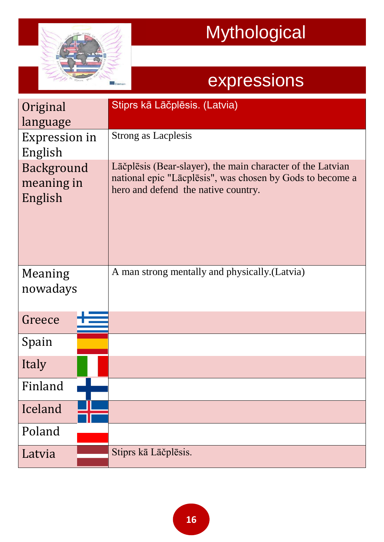

| Original<br>language                | Stiprs kā Lāčplēsis. (Latvia)                                                                                                                                  |
|-------------------------------------|----------------------------------------------------------------------------------------------------------------------------------------------------------------|
| Expression in<br>English            | <b>Strong as Lacplesis</b>                                                                                                                                     |
| Background<br>meaning in<br>English | Lāčplēsis (Bear-slayer), the main character of the Latvian<br>national epic "Lacplesis", was chosen by Gods to become a<br>hero and defend the native country. |
| Meaning<br>nowadays                 | A man strong mentally and physically. (Latvia)                                                                                                                 |
| Greece                              |                                                                                                                                                                |
| Spain                               |                                                                                                                                                                |
| Italy                               |                                                                                                                                                                |
| Finland                             |                                                                                                                                                                |
| Iceland                             |                                                                                                                                                                |
| Poland                              |                                                                                                                                                                |
| Latvia                              | Stiprs kā Lāčplēsis.                                                                                                                                           |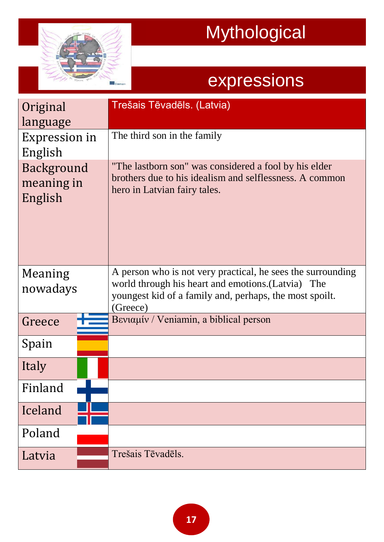

| Original<br>language                | Trešais Tēvadēls. (Latvia)                                                                                                                                                               |
|-------------------------------------|------------------------------------------------------------------------------------------------------------------------------------------------------------------------------------------|
| Expression in<br>English            | The third son in the family                                                                                                                                                              |
| Background<br>meaning in<br>English | "The lastborn son" was considered a fool by his elder<br>brothers due to his idealism and selflessness. A common<br>hero in Latvian fairy tales.                                         |
| Meaning<br>nowadays                 | A person who is not very practical, he sees the surrounding<br>world through his heart and emotions. (Latvia) The<br>youngest kid of a family and, perhaps, the most spoilt.<br>(Greece) |
| Greece                              | Bενιαμίν / Veniamin, a biblical person                                                                                                                                                   |
| Spain                               |                                                                                                                                                                                          |
| Italy                               |                                                                                                                                                                                          |
| Finland                             |                                                                                                                                                                                          |
| Iceland                             |                                                                                                                                                                                          |
| Poland                              |                                                                                                                                                                                          |
| Latvia                              | Trešais Tēvadēls.                                                                                                                                                                        |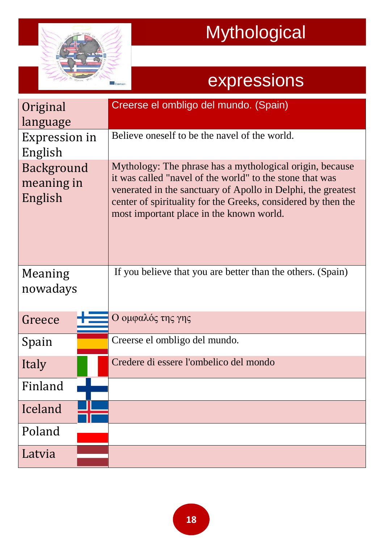

| Original<br>language                | Creerse el ombligo del mundo. (Spain)                                                                                                                                                                                                                                                             |
|-------------------------------------|---------------------------------------------------------------------------------------------------------------------------------------------------------------------------------------------------------------------------------------------------------------------------------------------------|
| Expression in<br>English            | Believe oneself to be the navel of the world.                                                                                                                                                                                                                                                     |
| Background<br>meaning in<br>English | Mythology: The phrase has a mythological origin, because<br>it was called "navel of the world" to the stone that was<br>venerated in the sanctuary of Apollo in Delphi, the greatest<br>center of spirituality for the Greeks, considered by then the<br>most important place in the known world. |
| Meaning<br>nowadays                 | If you believe that you are better than the others. (Spain)                                                                                                                                                                                                                                       |
| Greece                              | Ο ομφαλός της γης                                                                                                                                                                                                                                                                                 |
| Spain                               | Creerse el ombligo del mundo.                                                                                                                                                                                                                                                                     |
| Italy                               | Credere di essere l'ombelico del mondo                                                                                                                                                                                                                                                            |
| Finland                             |                                                                                                                                                                                                                                                                                                   |
| Iceland                             |                                                                                                                                                                                                                                                                                                   |
| Poland                              |                                                                                                                                                                                                                                                                                                   |
| Latvia                              |                                                                                                                                                                                                                                                                                                   |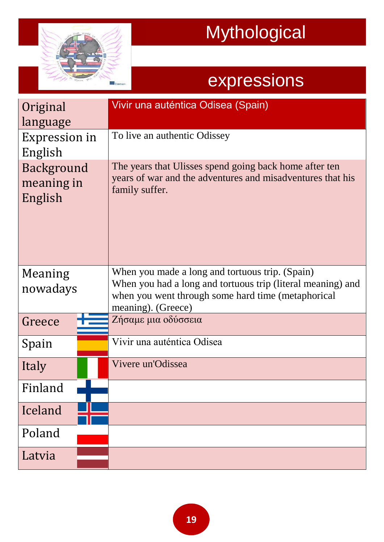

| Original<br>language                | Vivir una auténtica Odisea (Spain)                                                                                                                                                         |
|-------------------------------------|--------------------------------------------------------------------------------------------------------------------------------------------------------------------------------------------|
| Expression in<br>English            | To live an authentic Odissey                                                                                                                                                               |
| Background<br>meaning in<br>English | The years that Ulisses spend going back home after ten<br>years of war and the adventures and misadventures that his<br>family suffer.                                                     |
| Meaning<br>nowadays                 | When you made a long and tortuous trip. (Spain)<br>When you had a long and tortuous trip (literal meaning) and<br>when you went through some hard time (metaphorical<br>meaning). (Greece) |
| Greece                              | Ζήσαμε μια οδύσσεια                                                                                                                                                                        |
| Spain                               | Vivir una auténtica Odisea                                                                                                                                                                 |
| Italy                               | Vivere un'Odissea                                                                                                                                                                          |
| Finland                             |                                                                                                                                                                                            |
| Iceland                             |                                                                                                                                                                                            |
| Poland                              |                                                                                                                                                                                            |
| Latvia                              |                                                                                                                                                                                            |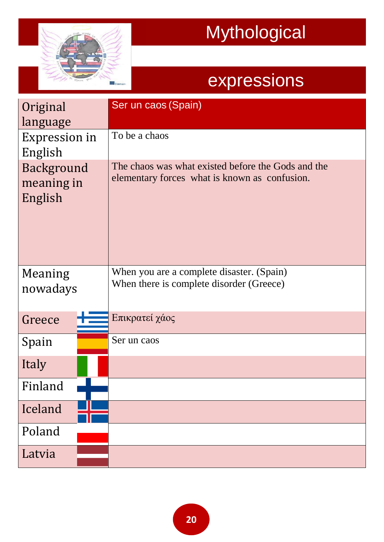

| Original<br>language                | Ser un caos (Spain)                                                                                 |
|-------------------------------------|-----------------------------------------------------------------------------------------------------|
| Expression in<br>English            | To be a chaos                                                                                       |
| Background<br>meaning in<br>English | The chaos was what existed before the Gods and the<br>elementary forces what is known as confusion. |
| Meaning<br>nowadays                 | When you are a complete disaster. (Spain)<br>When there is complete disorder (Greece)               |
| Greece                              | Επικρατεί χάος                                                                                      |
| Spain                               | Ser un caos                                                                                         |
| Italy                               |                                                                                                     |
| Finland                             |                                                                                                     |
| Iceland                             |                                                                                                     |
| Poland                              |                                                                                                     |
| Latvia                              |                                                                                                     |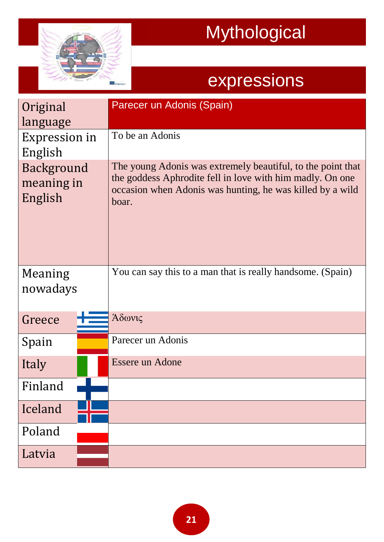

| Original<br>language                | Parecer un Adonis (Spain)                                                                                                                                                                      |
|-------------------------------------|------------------------------------------------------------------------------------------------------------------------------------------------------------------------------------------------|
| Expression in<br>English            | To be an Adonis                                                                                                                                                                                |
| Background<br>meaning in<br>English | The young Adonis was extremely beautiful, to the point that<br>the goddess Aphrodite fell in love with him madly. On one<br>occasion when Adonis was hunting, he was killed by a wild<br>boar. |
| Meaning<br>nowadays                 | You can say this to a man that is really handsome. (Spain)                                                                                                                                     |
| Greece                              | Άδωνις                                                                                                                                                                                         |
| Spain                               | Parecer un Adonis                                                                                                                                                                              |
| Italy                               | <b>Essere un Adone</b>                                                                                                                                                                         |
| Finland                             |                                                                                                                                                                                                |
| Iceland                             |                                                                                                                                                                                                |
| Poland                              |                                                                                                                                                                                                |
| Latvia                              |                                                                                                                                                                                                |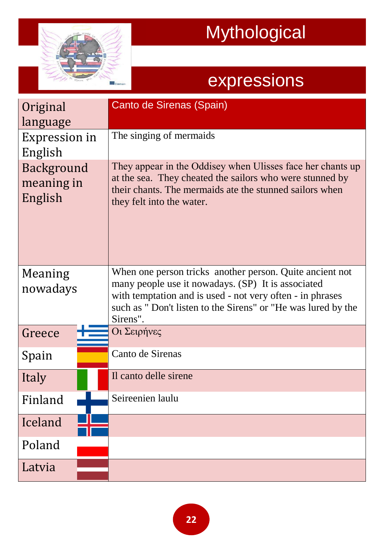

| Original<br>language                | Canto de Sirenas (Spain)                                                                                                                                                                                                                                |
|-------------------------------------|---------------------------------------------------------------------------------------------------------------------------------------------------------------------------------------------------------------------------------------------------------|
| Expression in<br>English            | The singing of mermaids                                                                                                                                                                                                                                 |
| Background<br>meaning in<br>English | They appear in the Oddisey when Ulisses face her chants up<br>at the sea. They cheated the sailors who were stunned by<br>their chants. The mermaids ate the stunned sailors when<br>they felt into the water.                                          |
| Meaning<br>nowadays                 | When one person tricks another person. Quite ancient not<br>many people use it nowadays. (SP) It is associated<br>with temptation and is used - not very often - in phrases<br>such as "Don't listen to the Sirens" or "He was lured by the<br>Sirens". |
| Greece                              | Οι Σειρήνες                                                                                                                                                                                                                                             |
| Spain                               | Canto de Sirenas                                                                                                                                                                                                                                        |
| Italy                               | Il canto delle sirene                                                                                                                                                                                                                                   |
| Finland                             | Seireenien laulu                                                                                                                                                                                                                                        |
| Iceland                             |                                                                                                                                                                                                                                                         |
| Poland                              |                                                                                                                                                                                                                                                         |
| Latvia                              |                                                                                                                                                                                                                                                         |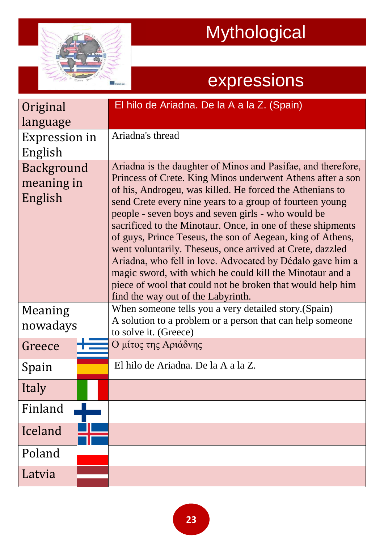

| Original                            | El hilo de Ariadna. De la A a la Z. (Spain)                                                                                                                                                                                                                                                                                                                                                                                                                                                                                                                                                                                                                                                                                     |
|-------------------------------------|---------------------------------------------------------------------------------------------------------------------------------------------------------------------------------------------------------------------------------------------------------------------------------------------------------------------------------------------------------------------------------------------------------------------------------------------------------------------------------------------------------------------------------------------------------------------------------------------------------------------------------------------------------------------------------------------------------------------------------|
| language                            |                                                                                                                                                                                                                                                                                                                                                                                                                                                                                                                                                                                                                                                                                                                                 |
| Expression in                       | Ariadna's thread                                                                                                                                                                                                                                                                                                                                                                                                                                                                                                                                                                                                                                                                                                                |
| English                             |                                                                                                                                                                                                                                                                                                                                                                                                                                                                                                                                                                                                                                                                                                                                 |
| Background<br>meaning in<br>English | Ariadna is the daughter of Minos and Pasifae, and therefore,<br>Princess of Crete. King Minos underwent Athens after a son<br>of his, Androgeu, was killed. He forced the Athenians to<br>send Crete every nine years to a group of fourteen young<br>people - seven boys and seven girls - who would be<br>sacrificed to the Minotaur. Once, in one of these shipments<br>of guys, Prince Teseus, the son of Aegean, king of Athens,<br>went voluntarily. Theseus, once arrived at Crete, dazzled<br>Ariadna, who fell in love. Advocated by Dédalo gave him a<br>magic sword, with which he could kill the Minotaur and a<br>piece of wool that could not be broken that would help him<br>find the way out of the Labyrinth. |
| Meaning                             | When someone tells you a very detailed story. (Spain)                                                                                                                                                                                                                                                                                                                                                                                                                                                                                                                                                                                                                                                                           |
| nowadays                            | A solution to a problem or a person that can help someone<br>to solve it. (Greece)                                                                                                                                                                                                                                                                                                                                                                                                                                                                                                                                                                                                                                              |
| Greece                              | Ο μίτος της Αριάδνης                                                                                                                                                                                                                                                                                                                                                                                                                                                                                                                                                                                                                                                                                                            |
| Spain                               | El hilo de Ariadna. De la A a la Z.                                                                                                                                                                                                                                                                                                                                                                                                                                                                                                                                                                                                                                                                                             |
| Italy                               |                                                                                                                                                                                                                                                                                                                                                                                                                                                                                                                                                                                                                                                                                                                                 |
| Finland                             |                                                                                                                                                                                                                                                                                                                                                                                                                                                                                                                                                                                                                                                                                                                                 |
| Iceland                             |                                                                                                                                                                                                                                                                                                                                                                                                                                                                                                                                                                                                                                                                                                                                 |
| Poland                              |                                                                                                                                                                                                                                                                                                                                                                                                                                                                                                                                                                                                                                                                                                                                 |
| Latvia                              |                                                                                                                                                                                                                                                                                                                                                                                                                                                                                                                                                                                                                                                                                                                                 |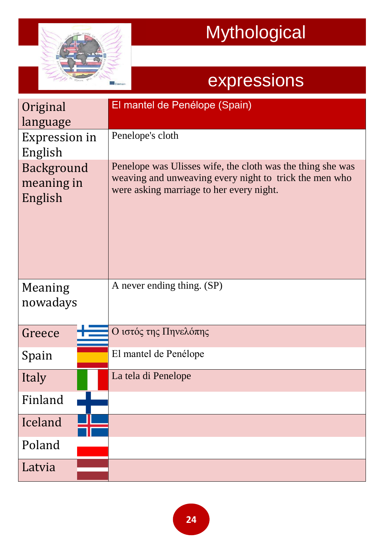

| Original<br>language                | El mantel de Penélope (Spain)                                                                                                                                    |
|-------------------------------------|------------------------------------------------------------------------------------------------------------------------------------------------------------------|
| Expression in<br>English            | Penelope's cloth                                                                                                                                                 |
| Background<br>meaning in<br>English | Penelope was Ulisses wife, the cloth was the thing she was<br>weaving and unweaving every night to trick the men who<br>were asking marriage to her every night. |
| Meaning<br>nowadays                 | A never ending thing. (SP)                                                                                                                                       |
| Greece                              | Ο ιστός της Πηνελόπης                                                                                                                                            |
| Spain                               | El mantel de Penélope                                                                                                                                            |
| Italy                               | La tela di Penelope                                                                                                                                              |
| Finland                             |                                                                                                                                                                  |
| Iceland                             |                                                                                                                                                                  |
| Poland                              |                                                                                                                                                                  |
| Latvia                              |                                                                                                                                                                  |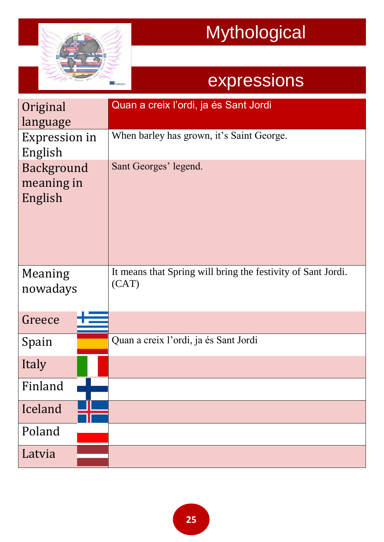

| Original<br>language                | Quan a creix l'ordi, ja és Sant Jordi                                 |
|-------------------------------------|-----------------------------------------------------------------------|
| Expression in<br>English            | When barley has grown, it's Saint George.                             |
| Background<br>meaning in<br>English | Sant Georges' legend.                                                 |
| Meaning<br>nowadays                 | It means that Spring will bring the festivity of Sant Jordi.<br>(CAT) |
| Greece                              |                                                                       |
| Spain                               | Quan a creix l'ordi, ja és Sant Jordi                                 |
| Italy                               |                                                                       |
| Finland                             |                                                                       |
| Iceland                             |                                                                       |
| Poland                              |                                                                       |
| Latvia                              |                                                                       |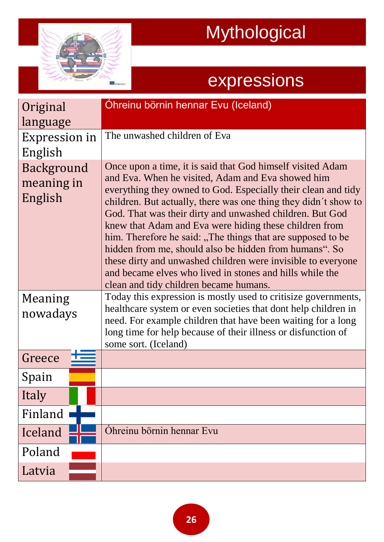

| Original                            | Ohreinu börnin hennar Evu (Iceland)                                                                                                                                                                                                                                                                                                                                                                                                                                                                                                                                                                                                                                      |
|-------------------------------------|--------------------------------------------------------------------------------------------------------------------------------------------------------------------------------------------------------------------------------------------------------------------------------------------------------------------------------------------------------------------------------------------------------------------------------------------------------------------------------------------------------------------------------------------------------------------------------------------------------------------------------------------------------------------------|
| language                            |                                                                                                                                                                                                                                                                                                                                                                                                                                                                                                                                                                                                                                                                          |
| Expression in<br>English            | The unwashed children of Eva                                                                                                                                                                                                                                                                                                                                                                                                                                                                                                                                                                                                                                             |
| Background<br>meaning in<br>English | Once upon a time, it is said that God himself visited Adam<br>and Eva. When he visited, Adam and Eva showed him<br>everything they owned to God. Especially their clean and tidy<br>children. But actually, there was one thing they didn't show to<br>God. That was their dirty and unwashed children. But God<br>knew that Adam and Eva were hiding these children from<br>him. Therefore he said: "The things that are supposed to be<br>hidden from me, should also be hidden from humans". So<br>these dirty and unwashed children were invisible to everyone<br>and became elves who lived in stones and hills while the<br>clean and tidy children became humans. |
| Meaning<br>nowadays                 | Today this expression is mostly used to critisize governments,<br>healthcare system or even societies that dont help children in<br>need. For example children that have been waiting for a long<br>long time for help because of their illness or disfunction of<br>some sort. (Iceland)                                                                                                                                                                                                                                                                                                                                                                                |
| Greece                              |                                                                                                                                                                                                                                                                                                                                                                                                                                                                                                                                                                                                                                                                          |
| Spain                               |                                                                                                                                                                                                                                                                                                                                                                                                                                                                                                                                                                                                                                                                          |
| Italy                               |                                                                                                                                                                                                                                                                                                                                                                                                                                                                                                                                                                                                                                                                          |
| Finland                             |                                                                                                                                                                                                                                                                                                                                                                                                                                                                                                                                                                                                                                                                          |
| Iceland                             | Öhreinu börnin hennar Evu                                                                                                                                                                                                                                                                                                                                                                                                                                                                                                                                                                                                                                                |
| Poland                              |                                                                                                                                                                                                                                                                                                                                                                                                                                                                                                                                                                                                                                                                          |
| Latvia                              |                                                                                                                                                                                                                                                                                                                                                                                                                                                                                                                                                                                                                                                                          |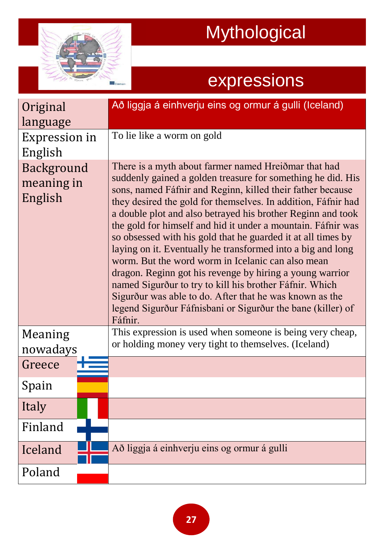

| Original                            | Að liggja á einhverju eins og ormur á gulli (Iceland)                                                                                                                                                                                                                                                                                                                                                                                                                                                                                                                                                                                                                                                                                                                                                                             |
|-------------------------------------|-----------------------------------------------------------------------------------------------------------------------------------------------------------------------------------------------------------------------------------------------------------------------------------------------------------------------------------------------------------------------------------------------------------------------------------------------------------------------------------------------------------------------------------------------------------------------------------------------------------------------------------------------------------------------------------------------------------------------------------------------------------------------------------------------------------------------------------|
| language                            |                                                                                                                                                                                                                                                                                                                                                                                                                                                                                                                                                                                                                                                                                                                                                                                                                                   |
| Expression in<br>English            | To lie like a worm on gold                                                                                                                                                                                                                                                                                                                                                                                                                                                                                                                                                                                                                                                                                                                                                                                                        |
| Background<br>meaning in<br>English | There is a myth about farmer named Hreiðmar that had<br>suddenly gained a golden treasure for something he did. His<br>sons, named Fáfnir and Reginn, killed their father because<br>they desired the gold for themselves. In addition, Fáfnir had<br>a double plot and also betrayed his brother Reginn and took<br>the gold for himself and hid it under a mountain. Fáfnir was<br>so obsessed with his gold that he guarded it at all times by<br>laying on it. Eventually he transformed into a big and long<br>worm. But the word worm in Icelanic can also mean<br>dragon. Reginn got his revenge by hiring a young warrior<br>named Sigurður to try to kill his brother Fáfnir. Which<br>Sigurður was able to do. After that he was known as the<br>legend Sigurður Fáfnisbani or Sigurður the bane (killer) of<br>Fáfnir. |
| Meaning<br>nowadays                 | This expression is used when someone is being very cheap,<br>or holding money very tight to themselves. (Iceland)                                                                                                                                                                                                                                                                                                                                                                                                                                                                                                                                                                                                                                                                                                                 |
| Greece                              |                                                                                                                                                                                                                                                                                                                                                                                                                                                                                                                                                                                                                                                                                                                                                                                                                                   |
| Spain                               |                                                                                                                                                                                                                                                                                                                                                                                                                                                                                                                                                                                                                                                                                                                                                                                                                                   |
| Italy                               |                                                                                                                                                                                                                                                                                                                                                                                                                                                                                                                                                                                                                                                                                                                                                                                                                                   |
| Finland                             |                                                                                                                                                                                                                                                                                                                                                                                                                                                                                                                                                                                                                                                                                                                                                                                                                                   |
| Iceland                             | Að liggja á einhverju eins og ormur á gulli                                                                                                                                                                                                                                                                                                                                                                                                                                                                                                                                                                                                                                                                                                                                                                                       |
| Poland                              |                                                                                                                                                                                                                                                                                                                                                                                                                                                                                                                                                                                                                                                                                                                                                                                                                                   |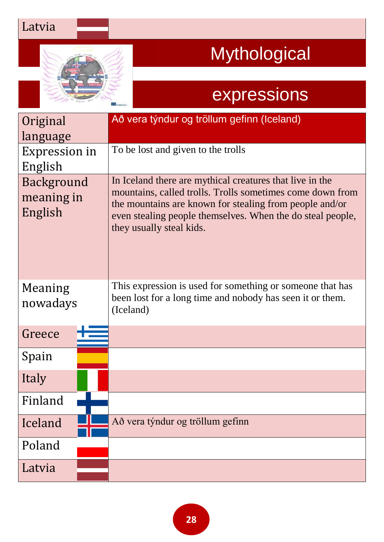#### Latvia



## Mythological

| Original<br>language                | Að vera týndur og tröllum gefinn (Iceland)                                                                                                                                                                                                                                 |
|-------------------------------------|----------------------------------------------------------------------------------------------------------------------------------------------------------------------------------------------------------------------------------------------------------------------------|
| Expression in<br>English            | To be lost and given to the trolls                                                                                                                                                                                                                                         |
| Background<br>meaning in<br>English | In Iceland there are mythical creatures that live in the<br>mountains, called trolls. Trolls sometimes come down from<br>the mountains are known for stealing from people and/or<br>even stealing people themselves. When the do steal people,<br>they usually steal kids. |
| Meaning<br>nowadays                 | This expression is used for something or someone that has<br>been lost for a long time and nobody has seen it or them.<br>(Iceland)                                                                                                                                        |
| Greece                              |                                                                                                                                                                                                                                                                            |
| Spain                               |                                                                                                                                                                                                                                                                            |
| Italy                               |                                                                                                                                                                                                                                                                            |
| Finland                             |                                                                                                                                                                                                                                                                            |
| Iceland                             | Að vera týndur og tröllum gefinn                                                                                                                                                                                                                                           |
| Poland                              |                                                                                                                                                                                                                                                                            |
| Latvia                              |                                                                                                                                                                                                                                                                            |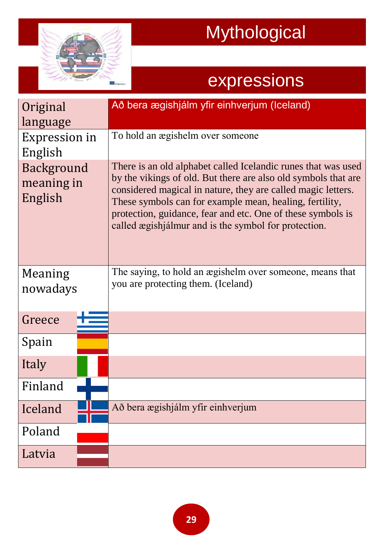

| Original<br>language                | Að bera ægishjálm yfir einhverjum (Iceland)                                                                                                                                                                                                                                                                                                                                       |
|-------------------------------------|-----------------------------------------------------------------------------------------------------------------------------------------------------------------------------------------------------------------------------------------------------------------------------------------------------------------------------------------------------------------------------------|
| <b>Expression in</b><br>English     | To hold an ægishelm over someone                                                                                                                                                                                                                                                                                                                                                  |
| Background<br>meaning in<br>English | There is an old alphabet called Icelandic runes that was used<br>by the vikings of old. But there are also old symbols that are<br>considered magical in nature, they are called magic letters.<br>These symbols can for example mean, healing, fertility,<br>protection, guidance, fear and etc. One of these symbols is<br>called ægishjálmur and is the symbol for protection. |
| Meaning<br>nowadays                 | The saying, to hold an ægishelm over someone, means that<br>you are protecting them. (Iceland)                                                                                                                                                                                                                                                                                    |
| Greece                              |                                                                                                                                                                                                                                                                                                                                                                                   |
| Spain                               |                                                                                                                                                                                                                                                                                                                                                                                   |
| Italy                               |                                                                                                                                                                                                                                                                                                                                                                                   |
| Finland                             |                                                                                                                                                                                                                                                                                                                                                                                   |
| Iceland                             | Að bera ægishjálm yfir einhverjum                                                                                                                                                                                                                                                                                                                                                 |
| Poland                              |                                                                                                                                                                                                                                                                                                                                                                                   |
| Latvia                              |                                                                                                                                                                                                                                                                                                                                                                                   |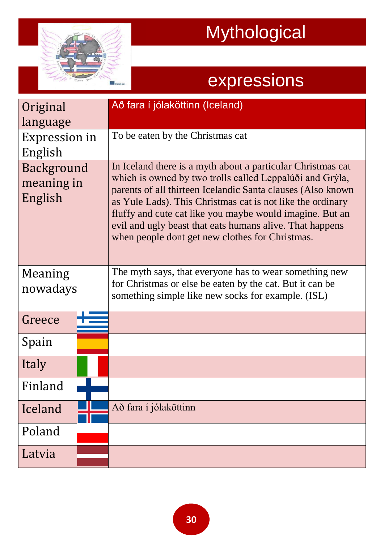

| Original<br>language                | Að fara í jólaköttinn (Iceland)                                                                                                                                                                                                                                                                                                                                                                                                  |
|-------------------------------------|----------------------------------------------------------------------------------------------------------------------------------------------------------------------------------------------------------------------------------------------------------------------------------------------------------------------------------------------------------------------------------------------------------------------------------|
| <b>Expression in</b><br>English     | To be eaten by the Christmas cat                                                                                                                                                                                                                                                                                                                                                                                                 |
| Background<br>meaning in<br>English | In Iceland there is a myth about a particular Christmas cat<br>which is owned by two trolls called Leppalúði and Grýla,<br>parents of all thirteen Icelandic Santa clauses (Also known)<br>as Yule Lads). This Christmas cat is not like the ordinary<br>fluffy and cute cat like you maybe would imagine. But an<br>evil and ugly beast that eats humans alive. That happens<br>when people dont get new clothes for Christmas. |
| Meaning<br>nowadays                 | The myth says, that everyone has to wear something new<br>for Christmas or else be eaten by the cat. But it can be<br>something simple like new socks for example. (ISL)                                                                                                                                                                                                                                                         |
| Greece                              |                                                                                                                                                                                                                                                                                                                                                                                                                                  |
| Spain                               |                                                                                                                                                                                                                                                                                                                                                                                                                                  |
| Italy                               |                                                                                                                                                                                                                                                                                                                                                                                                                                  |
| Finland                             |                                                                                                                                                                                                                                                                                                                                                                                                                                  |
| Iceland                             | Að fara í jólaköttinn                                                                                                                                                                                                                                                                                                                                                                                                            |
| Poland                              |                                                                                                                                                                                                                                                                                                                                                                                                                                  |
| Latvia                              |                                                                                                                                                                                                                                                                                                                                                                                                                                  |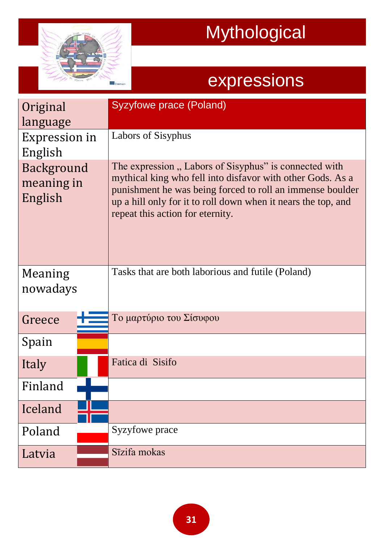

| Original<br>language                | <b>Syzyfowe prace (Poland)</b>                                                                                                                                                                                                                                                        |
|-------------------------------------|---------------------------------------------------------------------------------------------------------------------------------------------------------------------------------------------------------------------------------------------------------------------------------------|
| Expression in<br>English            | Labors of Sisyphus                                                                                                                                                                                                                                                                    |
| Background<br>meaning in<br>English | The expression, Labors of Sisyphus" is connected with<br>mythical king who fell into disfavor with other Gods. As a<br>punishment he was being forced to roll an immense boulder<br>up a hill only for it to roll down when it nears the top, and<br>repeat this action for eternity. |
| Meaning<br>nowadays                 | Tasks that are both laborious and futile (Poland)                                                                                                                                                                                                                                     |
| Greece                              | Το μαρτύριο του Σίσυφου                                                                                                                                                                                                                                                               |
| Spain                               |                                                                                                                                                                                                                                                                                       |
| Italy                               | Fatica di Sisifo                                                                                                                                                                                                                                                                      |
| Finland                             |                                                                                                                                                                                                                                                                                       |
| Iceland                             |                                                                                                                                                                                                                                                                                       |
| Poland                              | Syzyfowe prace                                                                                                                                                                                                                                                                        |
| Latvia                              | Sīzifa mokas                                                                                                                                                                                                                                                                          |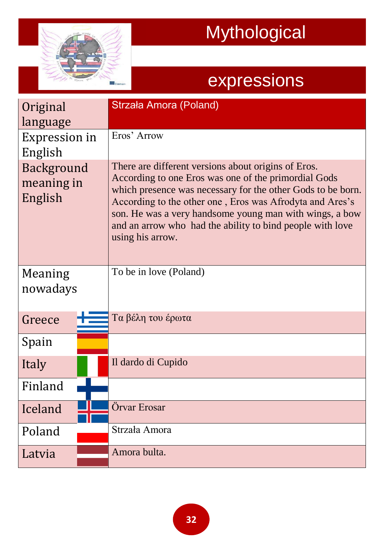

| Original<br>language                | Strzała Amora (Poland)                                                                                                                                                                                                                                                                                                                                                             |
|-------------------------------------|------------------------------------------------------------------------------------------------------------------------------------------------------------------------------------------------------------------------------------------------------------------------------------------------------------------------------------------------------------------------------------|
| Expression in<br>English            | Eros' Arrow                                                                                                                                                                                                                                                                                                                                                                        |
| Background<br>meaning in<br>English | There are different versions about origins of Eros.<br>According to one Eros was one of the primordial Gods<br>which presence was necessary for the other Gods to be born.<br>According to the other one, Eros was Afrodyta and Ares's<br>son. He was a very handsome young man with wings, a bow<br>and an arrow who had the ability to bind people with love<br>using his arrow. |
| Meaning<br>nowadays                 | To be in love (Poland)                                                                                                                                                                                                                                                                                                                                                             |
| Greece                              | Τα βέλη του έρωτα                                                                                                                                                                                                                                                                                                                                                                  |
| Spain                               |                                                                                                                                                                                                                                                                                                                                                                                    |
| Italy                               | Il dardo di Cupido                                                                                                                                                                                                                                                                                                                                                                 |
| Finland                             |                                                                                                                                                                                                                                                                                                                                                                                    |
| Iceland                             | Örvar Erosar                                                                                                                                                                                                                                                                                                                                                                       |
| Poland                              | Strzała Amora                                                                                                                                                                                                                                                                                                                                                                      |
| Latvia                              | Amora bulta.                                                                                                                                                                                                                                                                                                                                                                       |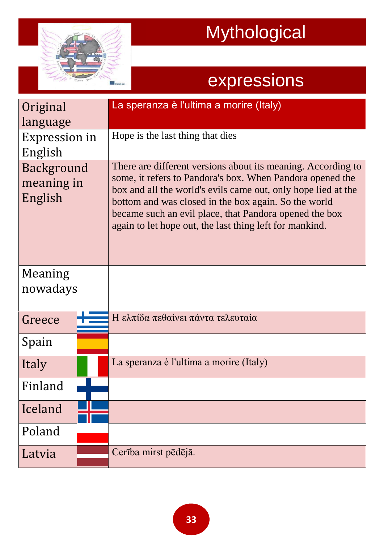

| Original                            | La speranza è l'ultima a morire (Italy)                                                                                                                                                                                                                                                                                                                                 |
|-------------------------------------|-------------------------------------------------------------------------------------------------------------------------------------------------------------------------------------------------------------------------------------------------------------------------------------------------------------------------------------------------------------------------|
| language                            |                                                                                                                                                                                                                                                                                                                                                                         |
| <b>Expression in</b>                | Hope is the last thing that dies                                                                                                                                                                                                                                                                                                                                        |
| English                             |                                                                                                                                                                                                                                                                                                                                                                         |
| Background<br>meaning in<br>English | There are different versions about its meaning. According to<br>some, it refers to Pandora's box. When Pandora opened the<br>box and all the world's evils came out, only hope lied at the<br>bottom and was closed in the box again. So the world<br>became such an evil place, that Pandora opened the box<br>again to let hope out, the last thing left for mankind. |
| Meaning<br>nowadays                 |                                                                                                                                                                                                                                                                                                                                                                         |
| Greece                              | Η ελπίδα πεθαίνει πάντα τελευταία                                                                                                                                                                                                                                                                                                                                       |
| Spain                               |                                                                                                                                                                                                                                                                                                                                                                         |
| Italy                               | La speranza è l'ultima a morire (Italy)                                                                                                                                                                                                                                                                                                                                 |
| Finland                             |                                                                                                                                                                                                                                                                                                                                                                         |
| Iceland                             |                                                                                                                                                                                                                                                                                                                                                                         |
| Poland                              |                                                                                                                                                                                                                                                                                                                                                                         |
| Latvia                              | Cerība mirst pēdējā.                                                                                                                                                                                                                                                                                                                                                    |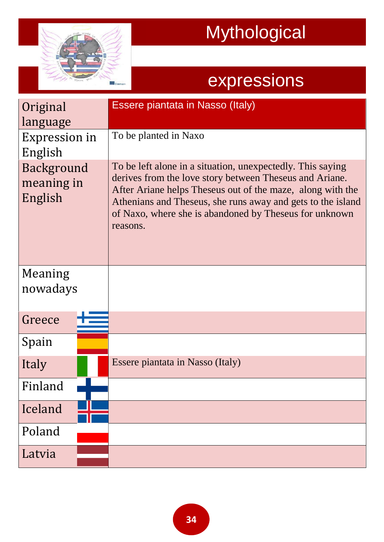

| Original<br>language                | Essere piantata in Nasso (Italy)                                                                                                                                                                                                                                                                                         |
|-------------------------------------|--------------------------------------------------------------------------------------------------------------------------------------------------------------------------------------------------------------------------------------------------------------------------------------------------------------------------|
| Expression in<br>English            | To be planted in Naxo                                                                                                                                                                                                                                                                                                    |
| Background<br>meaning in<br>English | To be left alone in a situation, unexpectedly. This saying<br>derives from the love story between Theseus and Ariane.<br>After Ariane helps Theseus out of the maze, along with the<br>Athenians and Theseus, she runs away and gets to the island<br>of Naxo, where she is abandoned by Theseus for unknown<br>reasons. |
| Meaning<br>nowadays                 |                                                                                                                                                                                                                                                                                                                          |
| Greece                              |                                                                                                                                                                                                                                                                                                                          |
| Spain                               |                                                                                                                                                                                                                                                                                                                          |
| Italy                               | Essere piantata in Nasso (Italy)                                                                                                                                                                                                                                                                                         |
| Finland                             |                                                                                                                                                                                                                                                                                                                          |
| Iceland                             |                                                                                                                                                                                                                                                                                                                          |
| Poland                              |                                                                                                                                                                                                                                                                                                                          |
| Latvia                              |                                                                                                                                                                                                                                                                                                                          |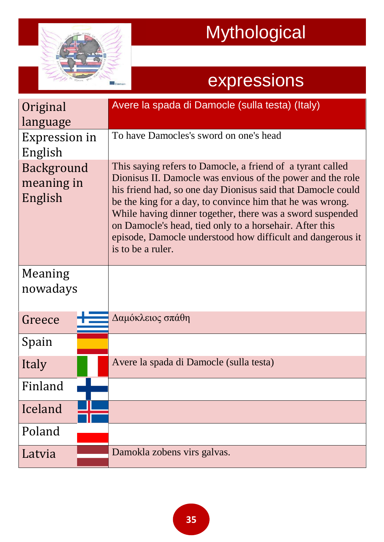

| Original<br>language                | Avere la spada di Damocle (sulla testa) (Italy)                                                                                                                                                                                                                                                                                                                                                                                                                 |
|-------------------------------------|-----------------------------------------------------------------------------------------------------------------------------------------------------------------------------------------------------------------------------------------------------------------------------------------------------------------------------------------------------------------------------------------------------------------------------------------------------------------|
| <b>Expression in</b><br>English     | To have Damocles's sword on one's head                                                                                                                                                                                                                                                                                                                                                                                                                          |
| Background<br>meaning in<br>English | This saying refers to Damocle, a friend of a tyrant called<br>Dionisus II. Damocle was envious of the power and the role<br>his friend had, so one day Dionisus said that Damocle could<br>be the king for a day, to convince him that he was wrong.<br>While having dinner together, there was a sword suspended<br>on Damocle's head, tied only to a horsehair. After this<br>episode, Damocle understood how difficult and dangerous it<br>is to be a ruler. |
| Meaning<br>nowadays                 |                                                                                                                                                                                                                                                                                                                                                                                                                                                                 |
| Greece                              | Δαμόκλειος σπάθη                                                                                                                                                                                                                                                                                                                                                                                                                                                |
| Spain                               |                                                                                                                                                                                                                                                                                                                                                                                                                                                                 |
| Italy                               | Avere la spada di Damocle (sulla testa)                                                                                                                                                                                                                                                                                                                                                                                                                         |
| Finland                             |                                                                                                                                                                                                                                                                                                                                                                                                                                                                 |
| Iceland                             |                                                                                                                                                                                                                                                                                                                                                                                                                                                                 |
| Poland                              |                                                                                                                                                                                                                                                                                                                                                                                                                                                                 |
| Latvia                              | Damokla zobens virs galvas.                                                                                                                                                                                                                                                                                                                                                                                                                                     |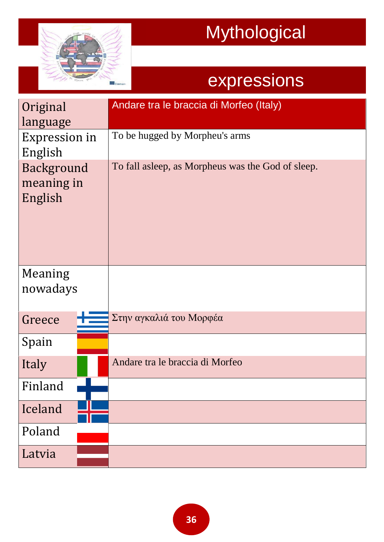

| Original<br>language                | Andare tra le braccia di Morfeo (Italy)           |
|-------------------------------------|---------------------------------------------------|
| Expression in<br>English            | To be hugged by Morpheu's arms                    |
| Background<br>meaning in<br>English | To fall asleep, as Morpheus was the God of sleep. |
| Meaning<br>nowadays                 |                                                   |
| Greece                              | Στην αγκαλιά του Μορφέα                           |
| Spain                               |                                                   |
| Italy                               | Andare tra le braccia di Morfeo                   |
| Finland                             |                                                   |
| Iceland                             |                                                   |
| Poland                              |                                                   |
| Latvia                              |                                                   |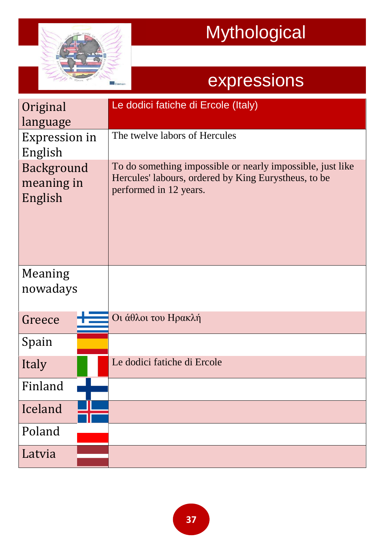

| Original<br>language                | Le dodici fatiche di Ercole (Italy)                                                                                                          |
|-------------------------------------|----------------------------------------------------------------------------------------------------------------------------------------------|
| <b>Expression in</b><br>English     | The twelve labors of Hercules                                                                                                                |
| Background<br>meaning in<br>English | To do something impossible or nearly impossible, just like<br>Hercules' labours, ordered by King Eurystheus, to be<br>performed in 12 years. |
| Meaning<br>nowadays                 |                                                                                                                                              |
| Greece                              | Οι άθλοι του Ηρακλή                                                                                                                          |
| Spain                               |                                                                                                                                              |
| Italy                               | Le dodici fatiche di Ercole                                                                                                                  |
| Finland                             |                                                                                                                                              |
| Iceland                             |                                                                                                                                              |
| Poland                              |                                                                                                                                              |
| Latvia                              |                                                                                                                                              |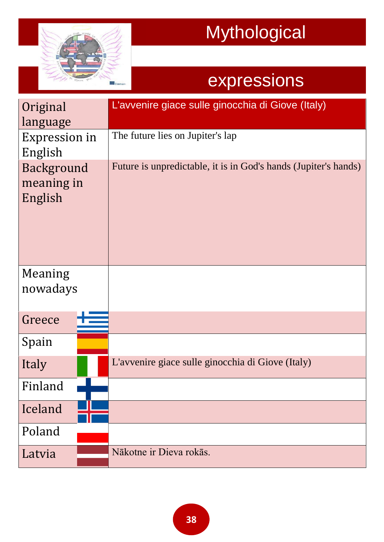

| Original      | L'avvenire giace sulle ginocchia di Giove (Italy)               |
|---------------|-----------------------------------------------------------------|
| language      |                                                                 |
| Expression in | The future lies on Jupiter's lap                                |
| English       |                                                                 |
| Background    | Future is unpredictable, it is in God's hands (Jupiter's hands) |
| meaning in    |                                                                 |
| English       |                                                                 |
|               |                                                                 |
|               |                                                                 |
|               |                                                                 |
|               |                                                                 |
| Meaning       |                                                                 |
| nowadays      |                                                                 |
|               |                                                                 |
| Greece        |                                                                 |
| Spain         |                                                                 |
|               |                                                                 |
| Italy         | L'avvenire giace sulle ginocchia di Giove (Italy)               |
| Finland       |                                                                 |
| Iceland       |                                                                 |
|               |                                                                 |
| Poland        |                                                                 |
| Latvia        | Nākotne ir Dieva rokās.                                         |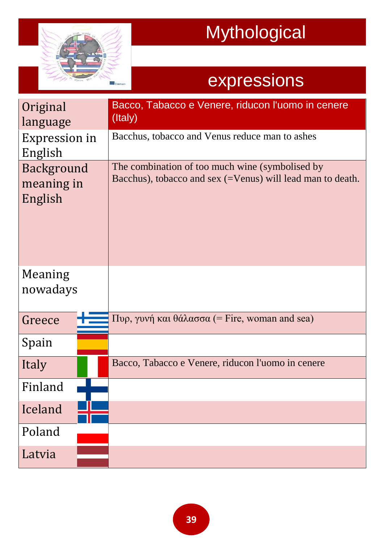

| Original<br>language                | Bacco, Tabacco e Venere, riducon l'uomo in cenere<br>(Italy)                                                  |
|-------------------------------------|---------------------------------------------------------------------------------------------------------------|
| <b>Expression in</b><br>English     | Bacchus, tobacco and Venus reduce man to ashes                                                                |
| Background<br>meaning in<br>English | The combination of too much wine (symbolised by<br>Bacchus), tobacco and sex (=Venus) will lead man to death. |
| Meaning<br>nowadays                 |                                                                                                               |
| Greece                              | $\Pi$ υρ, γυνή και θάλασσα (= Fire, woman and sea)                                                            |
| Spain                               |                                                                                                               |
| Italy                               | Bacco, Tabacco e Venere, riducon l'uomo in cenere                                                             |
| Finland                             |                                                                                                               |
| Iceland                             |                                                                                                               |
| Poland                              |                                                                                                               |
| Latvia                              |                                                                                                               |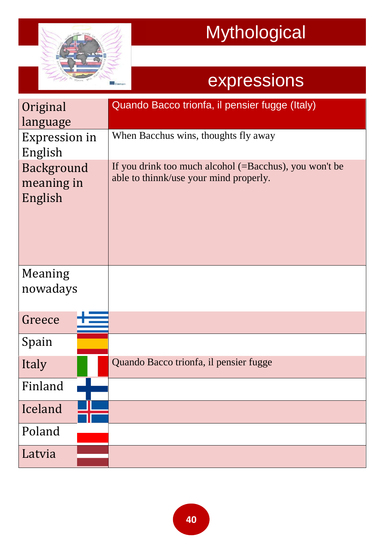

| Original<br>language                | Quando Bacco trionfa, il pensier fugge (Italy)                                                             |
|-------------------------------------|------------------------------------------------------------------------------------------------------------|
| <b>Expression in</b><br>English     | When Bacchus wins, thoughts fly away                                                                       |
| Background<br>meaning in<br>English | If you drink too much alcohol $(=\text{Bacchus})$ , you won't be<br>able to thinnk/use your mind properly. |
| Meaning<br>nowadays                 |                                                                                                            |
| Greece                              |                                                                                                            |
| Spain                               |                                                                                                            |
| Italy                               | Quando Bacco trionfa, il pensier fugge                                                                     |
| Finland                             |                                                                                                            |
| Iceland                             |                                                                                                            |
| Poland                              |                                                                                                            |
| Latvia                              |                                                                                                            |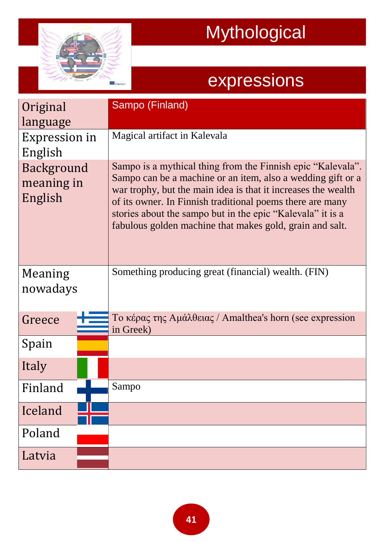

| Original<br>language<br>Expression in<br>English<br>Background | Sampo (Finland)<br>Magical artifact in Kalevala<br>Sampo is a mythical thing from the Finnish epic "Kalevala".<br>Sampo can be a machine or an item, also a wedding gift or a                                                                        |
|----------------------------------------------------------------|------------------------------------------------------------------------------------------------------------------------------------------------------------------------------------------------------------------------------------------------------|
| meaning in<br>English                                          | war trophy, but the main idea is that it increases the wealth<br>of its owner. In Finnish traditional poems there are many<br>stories about the sampo but in the epic "Kalevala" it is a<br>fabulous golden machine that makes gold, grain and salt. |
| Meaning<br>nowadays                                            | Something producing great (financial) wealth. (FIN)                                                                                                                                                                                                  |
| Greece                                                         | To κέρας της Αμάλθειας / Amalthea's horn (see expression<br>in Greek)                                                                                                                                                                                |
| Spain                                                          |                                                                                                                                                                                                                                                      |
| Italy                                                          |                                                                                                                                                                                                                                                      |
| Finland                                                        | Sampo                                                                                                                                                                                                                                                |
| Iceland                                                        |                                                                                                                                                                                                                                                      |
| Poland                                                         |                                                                                                                                                                                                                                                      |
| Latvia                                                         |                                                                                                                                                                                                                                                      |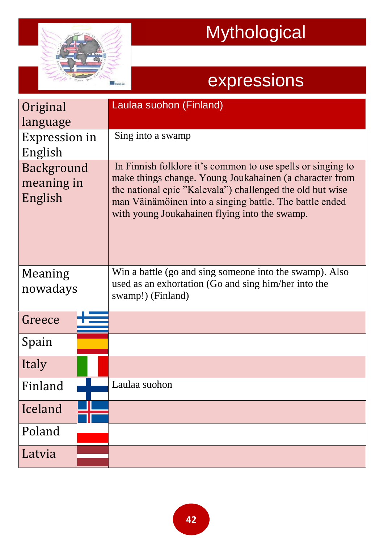

| Original<br>language<br>Expression in          | Laulaa suohon (Finland)<br>Sing into a swamp                                                                                                                                                                                                                                                    |
|------------------------------------------------|-------------------------------------------------------------------------------------------------------------------------------------------------------------------------------------------------------------------------------------------------------------------------------------------------|
| English<br>Background<br>meaning in<br>English | In Finnish folklore it's common to use spells or singing to<br>make things change. Young Joukahainen (a character from<br>the national epic "Kalevala") challenged the old but wise<br>man Väinämöinen into a singing battle. The battle ended<br>with young Joukahainen flying into the swamp. |
| Meaning<br>nowadays                            | Win a battle (go and sing someone into the swamp). Also<br>used as an exhortation (Go and sing him/her into the<br>swamp!) (Finland)                                                                                                                                                            |
| Greece                                         |                                                                                                                                                                                                                                                                                                 |
| Spain                                          |                                                                                                                                                                                                                                                                                                 |
| Italy                                          |                                                                                                                                                                                                                                                                                                 |
| Finland                                        | Laulaa suohon                                                                                                                                                                                                                                                                                   |
| Iceland                                        |                                                                                                                                                                                                                                                                                                 |
| Poland                                         |                                                                                                                                                                                                                                                                                                 |
| Latvia                                         |                                                                                                                                                                                                                                                                                                 |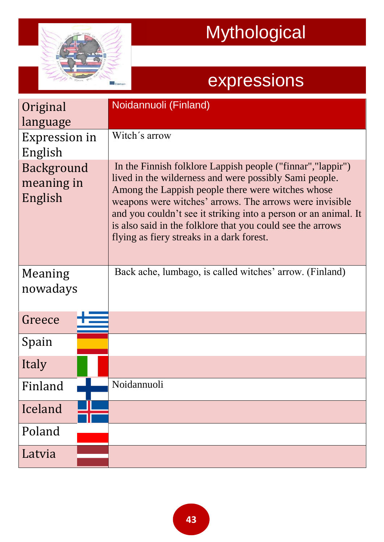

| Original<br>language<br>Expression in<br>English<br>Background<br>meaning in<br>English | Noidannuoli (Finland)<br>Witch's arrow<br>In the Finnish folklore Lappish people ("finnar", "lappir")<br>lived in the wilderness and were possibly Sami people.<br>Among the Lappish people there were witches whose<br>weapons were witches' arrows. The arrows were invisible<br>and you couldn't see it striking into a person or an animal. It |
|-----------------------------------------------------------------------------------------|----------------------------------------------------------------------------------------------------------------------------------------------------------------------------------------------------------------------------------------------------------------------------------------------------------------------------------------------------|
|                                                                                         | is also said in the folklore that you could see the arrows<br>flying as fiery streaks in a dark forest.                                                                                                                                                                                                                                            |
| Meaning<br>nowadays                                                                     | Back ache, lumbago, is called witches' arrow. (Finland)                                                                                                                                                                                                                                                                                            |
| Greece                                                                                  |                                                                                                                                                                                                                                                                                                                                                    |
| Spain                                                                                   |                                                                                                                                                                                                                                                                                                                                                    |
| Italy                                                                                   |                                                                                                                                                                                                                                                                                                                                                    |
| Finland                                                                                 | Noidannuoli                                                                                                                                                                                                                                                                                                                                        |
| Iceland                                                                                 |                                                                                                                                                                                                                                                                                                                                                    |
| Poland                                                                                  |                                                                                                                                                                                                                                                                                                                                                    |
| Latvia                                                                                  |                                                                                                                                                                                                                                                                                                                                                    |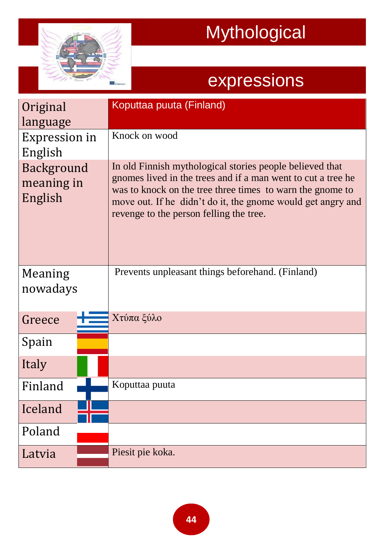

| Original<br>language                | Koputtaa puuta (Finland)                                                                                                                                                                                                                                                                        |
|-------------------------------------|-------------------------------------------------------------------------------------------------------------------------------------------------------------------------------------------------------------------------------------------------------------------------------------------------|
| Expression in<br>English            | Knock on wood                                                                                                                                                                                                                                                                                   |
| Background<br>meaning in<br>English | In old Finnish mythological stories people believed that<br>gnomes lived in the trees and if a man went to cut a tree he<br>was to knock on the tree three times to warn the gnome to<br>move out. If he didn't do it, the gnome would get angry and<br>revenge to the person felling the tree. |
| Meaning<br>nowadays                 | Prevents unpleasant things beforehand. (Finland)                                                                                                                                                                                                                                                |
| Greece                              | Χτύπα ξύλο                                                                                                                                                                                                                                                                                      |
| Spain                               |                                                                                                                                                                                                                                                                                                 |
| Italy                               |                                                                                                                                                                                                                                                                                                 |
| Finland                             | Koputtaa puuta                                                                                                                                                                                                                                                                                  |
| Iceland                             |                                                                                                                                                                                                                                                                                                 |
| Poland                              |                                                                                                                                                                                                                                                                                                 |
| Latvia                              | Piesit pie koka.                                                                                                                                                                                                                                                                                |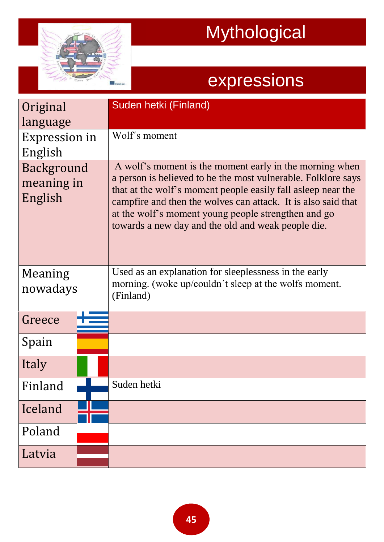

| Original<br>language<br>Expression in<br>English<br>Background<br>meaning in<br>English | Suden hetki (Finland)<br>Wolf's moment<br>A wolf's moment is the moment early in the morning when<br>a person is believed to be the most vulnerable. Folklore says<br>that at the wolf's moment people easily fall as leep near the<br>campfire and then the wolves can attack. It is also said that<br>at the wolf's moment young people strengthen and go<br>towards a new day and the old and weak people die. |
|-----------------------------------------------------------------------------------------|-------------------------------------------------------------------------------------------------------------------------------------------------------------------------------------------------------------------------------------------------------------------------------------------------------------------------------------------------------------------------------------------------------------------|
| Meaning<br>nowadays                                                                     | Used as an explanation for sleeplessness in the early<br>morning. (woke up/couldn't sleep at the wolfs moment.<br>(Finland)                                                                                                                                                                                                                                                                                       |
| Greece                                                                                  |                                                                                                                                                                                                                                                                                                                                                                                                                   |
| Spain                                                                                   |                                                                                                                                                                                                                                                                                                                                                                                                                   |
| Italy                                                                                   |                                                                                                                                                                                                                                                                                                                                                                                                                   |
| Finland                                                                                 | Suden hetki                                                                                                                                                                                                                                                                                                                                                                                                       |
| Iceland                                                                                 |                                                                                                                                                                                                                                                                                                                                                                                                                   |
| Poland                                                                                  |                                                                                                                                                                                                                                                                                                                                                                                                                   |
| Latvia                                                                                  |                                                                                                                                                                                                                                                                                                                                                                                                                   |